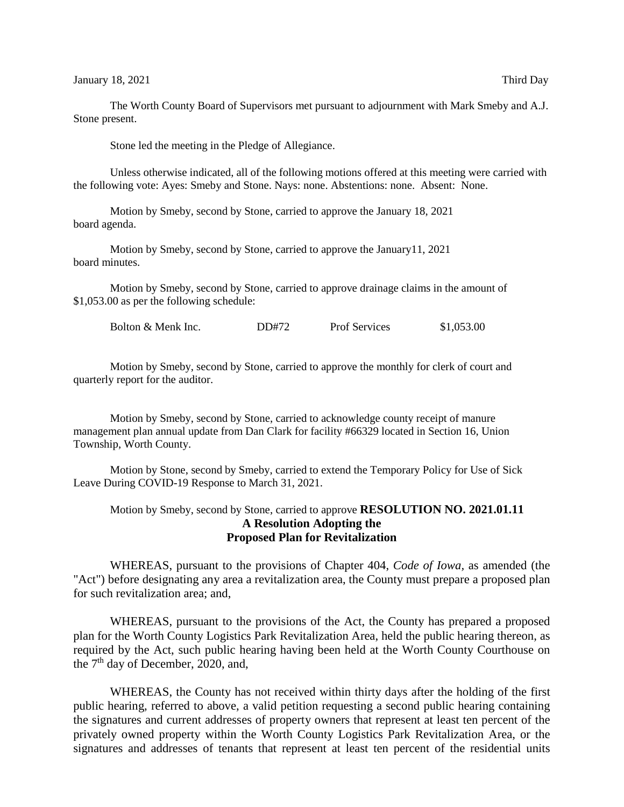January 18, 2021 Third Day

The Worth County Board of Supervisors met pursuant to adjournment with Mark Smeby and A.J. Stone present.

Stone led the meeting in the Pledge of Allegiance.

Unless otherwise indicated, all of the following motions offered at this meeting were carried with the following vote: Ayes: Smeby and Stone. Nays: none. Abstentions: none. Absent: None.

Motion by Smeby, second by Stone, carried to approve the January 18, 2021 board agenda.

Motion by Smeby, second by Stone, carried to approve the January11, 2021 board minutes.

Motion by Smeby, second by Stone, carried to approve drainage claims in the amount of \$1,053.00 as per the following schedule:

Bolton & Menk Inc. DD#72 Prof Services \$1,053.00

Motion by Smeby, second by Stone, carried to approve the monthly for clerk of court and quarterly report for the auditor.

Motion by Smeby, second by Stone, carried to acknowledge county receipt of manure management plan annual update from Dan Clark for facility #66329 located in Section 16, Union Township, Worth County.

Motion by Stone, second by Smeby, carried to extend the Temporary Policy for Use of Sick Leave During COVID-19 Response to March 31, 2021.

Motion by Smeby, second by Stone, carried to approve **RESOLUTION NO. 2021.01.11 A Resolution Adopting the Proposed Plan for Revitalization**

WHEREAS, pursuant to the provisions of Chapter 404, *Code of Iowa,* as amended (the "Act") before designating any area a revitalization area, the County must prepare a proposed plan for such revitalization area; and,

WHEREAS, pursuant to the provisions of the Act, the County has prepared a proposed plan for the Worth County Logistics Park Revitalization Area, held the public hearing thereon, as required by the Act, such public hearing having been held at the Worth County Courthouse on the  $7<sup>th</sup>$  day of December, 2020, and,

WHEREAS, the County has not received within thirty days after the holding of the first public hearing, referred to above, a valid petition requesting a second public hearing containing the signatures and current addresses of property owners that represent at least ten percent of the privately owned property within the Worth County Logistics Park Revitalization Area, or the signatures and addresses of tenants that represent at least ten percent of the residential units